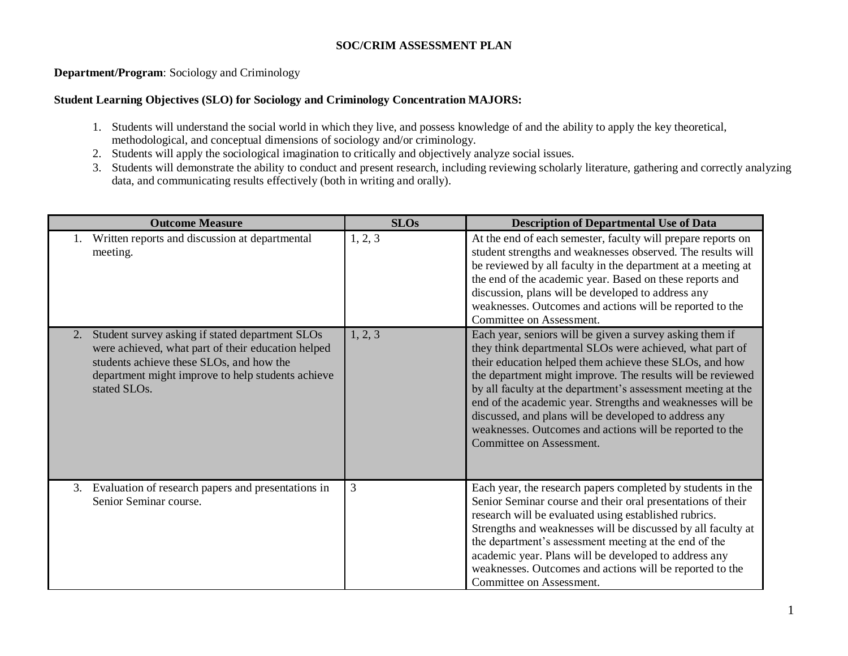#### **SOC/CRIM ASSESSMENT PLAN**

# **Department/Program**: Sociology and Criminology

### **Student Learning Objectives (SLO) for Sociology and Criminology Concentration MAJORS:**

- 1. Students will understand the social world in which they live, and possess knowledge of and the ability to apply the key theoretical, methodological, and conceptual dimensions of sociology and/or criminology.
- 2. Students will apply the sociological imagination to critically and objectively analyze social issues.
- 3. Students will demonstrate the ability to conduct and present research, including reviewing scholarly literature, gathering and correctly analyzing data, and communicating results effectively (both in writing and orally).

| <b>Outcome Measure</b>                                                                                                                                                                                                                    | <b>SLOs</b> | <b>Description of Departmental Use of Data</b>                                                                                                                                                                                                                                                                                                                                                                                                                                                                               |
|-------------------------------------------------------------------------------------------------------------------------------------------------------------------------------------------------------------------------------------------|-------------|------------------------------------------------------------------------------------------------------------------------------------------------------------------------------------------------------------------------------------------------------------------------------------------------------------------------------------------------------------------------------------------------------------------------------------------------------------------------------------------------------------------------------|
| Written reports and discussion at departmental<br>meeting.                                                                                                                                                                                | 1, 2, 3     | At the end of each semester, faculty will prepare reports on<br>student strengths and weaknesses observed. The results will<br>be reviewed by all faculty in the department at a meeting at<br>the end of the academic year. Based on these reports and<br>discussion, plans will be developed to address any<br>weaknesses. Outcomes and actions will be reported to the<br>Committee on Assessment.                                                                                                                        |
| Student survey asking if stated department SLOs<br>2.<br>were achieved, what part of their education helped<br>students achieve these SLOs, and how the<br>department might improve to help students achieve<br>stated SLO <sub>s</sub> . | 1, 2, 3     | Each year, seniors will be given a survey asking them if<br>they think departmental SLOs were achieved, what part of<br>their education helped them achieve these SLOs, and how<br>the department might improve. The results will be reviewed<br>by all faculty at the department's assessment meeting at the<br>end of the academic year. Strengths and weaknesses will be<br>discussed, and plans will be developed to address any<br>weaknesses. Outcomes and actions will be reported to the<br>Committee on Assessment. |
| Evaluation of research papers and presentations in<br>3.<br>Senior Seminar course.                                                                                                                                                        | 3           | Each year, the research papers completed by students in the<br>Senior Seminar course and their oral presentations of their<br>research will be evaluated using established rubrics.<br>Strengths and weaknesses will be discussed by all faculty at<br>the department's assessment meeting at the end of the<br>academic year. Plans will be developed to address any<br>weaknesses. Outcomes and actions will be reported to the<br>Committee on Assessment.                                                                |